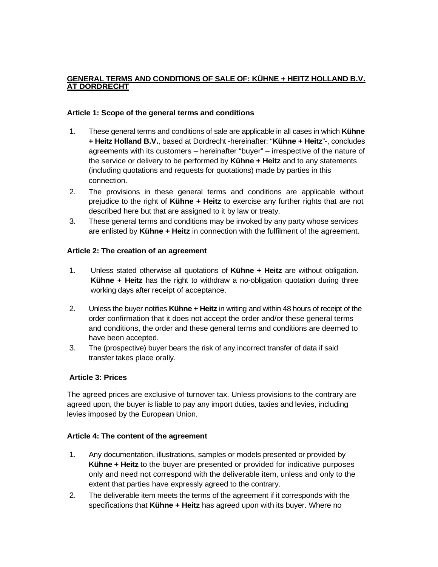### **GENERAL TERMS AND CONDITIONS OF SALE OF: KÜHNE + HEITZ HOLLAND B.V. AT DORDRECHT**

### **Article 1: Scope of the general terms and conditions**

- 1. These general terms and conditions of sale are applicable in all cases in which **Kühne + Heitz Holland B.V.**, based at Dordrecht -hereinafter: "**Kühne + Heitz**"-, concludes agreements with its customers – hereinafter "buyer" – irrespective of the nature of the service or delivery to be performed by **Kühne + Heitz** and to any statements (including quotations and requests for quotations) made by parties in this connection.
- 2. The provisions in these general terms and conditions are applicable without prejudice to the right of **Kühne + Heitz** to exercise any further rights that are not described here but that are assigned to it by law or treaty.
- 3. These general terms and conditions may be invoked by any party whose services are enlisted by **Kühne + Heitz** in connection with the fulfilment of the agreement.

#### **Article 2: The creation of an agreement**

- 1. Unless stated otherwise all quotations of **Kühne + Heitz** are without obligation. **Kühne** + **Heitz** has the right to withdraw a no-obligation quotation during three working days after receipt of acceptance.
- 2. Unless the buyer notifies **Kühne + Heitz** in writing and within 48 hours of receipt of the order confirmation that it does not accept the order and/or these general terms and conditions, the order and these general terms and conditions are deemed to have been accepted.
- 3. The (prospective) buyer bears the risk of any incorrect transfer of data if said transfer takes place orally.

# **Article 3: Prices**

The agreed prices are exclusive of turnover tax. Unless provisions to the contrary are agreed upon, the buyer is liable to pay any import duties, taxies and levies, including levies imposed by the European Union.

#### **Article 4: The content of the agreement**

- 1. Any documentation, illustrations, samples or models presented or provided by **Kühne + Heitz** to the buyer are presented or provided for indicative purposes only and need not correspond with the deliverable item, unless and only to the extent that parties have expressly agreed to the contrary.
- 2. The deliverable item meets the terms of the agreement if it corresponds with the specifications that **Kühne + Heitz** has agreed upon with its buyer. Where no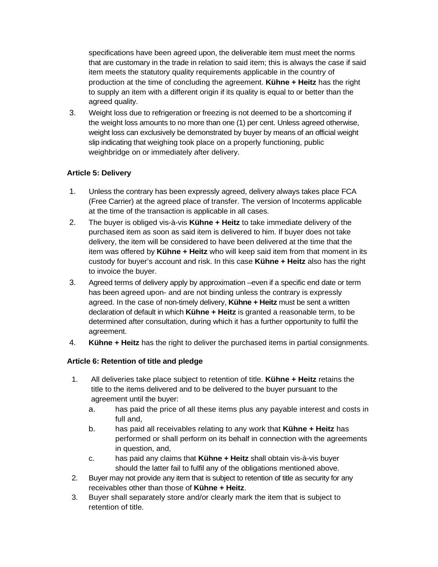specifications have been agreed upon, the deliverable item must meet the norms that are customary in the trade in relation to said item; this is always the case if said item meets the statutory quality requirements applicable in the country of production at the time of concluding the agreement. **Kühne + Heitz** has the right to supply an item with a different origin if its quality is equal to or better than the agreed quality.

3. Weight loss due to refrigeration or freezing is not deemed to be a shortcoming if the weight loss amounts to no more than one (1) per cent. Unless agreed otherwise, weight loss can exclusively be demonstrated by buyer by means of an official weight slip indicating that weighing took place on a properly functioning, public weighbridge on or immediately after delivery.

# **Article 5: Delivery**

- 1. Unless the contrary has been expressly agreed, delivery always takes place FCA (Free Carrier) at the agreed place of transfer. The version of Incoterms applicable at the time of the transaction is applicable in all cases.
- 2. The buyer is obliged vis-à-vis **Kühne + Heitz** to take immediate delivery of the purchased item as soon as said item is delivered to him. If buyer does not take delivery, the item will be considered to have been delivered at the time that the item was offered by **Kühne + Heitz** who will keep said item from that moment in its custody for buyer's account and risk. In this case **Kühne + Heitz** also has the right to invoice the buyer.
- 3. Agreed terms of delivery apply by approximation –even if a specific end date or term has been agreed upon- and are not binding unless the contrary is expressly agreed. In the case of non-timely delivery, **Kühne + Heitz** must be sent a written declaration of default in which **Kühne + Heitz** is granted a reasonable term, to be determined after consultation, during which it has a further opportunity to fulfil the agreement.
- 4. **Kühne + Heitz** has the right to deliver the purchased items in partial consignments.

# **Article 6: Retention of title and pledge**

- 1. All deliveries take place subject to retention of title. **Kühne + Heitz** retains the title to the items delivered and to be delivered to the buyer pursuant to the agreement until the buyer:
	- a. has paid the price of all these items plus any payable interest and costs in full and,
	- b. has paid all receivables relating to any work that **Kühne + Heitz** has performed or shall perform on its behalf in connection with the agreements in question, and,
	- c. has paid any claims that **Kühne + Heitz** shall obtain vis-à-vis buyer should the latter fail to fulfil any of the obligations mentioned above.
- 2. Buyer may not provide any item that is subject to retention of title as security for any receivables other than those of **Kühne + Heitz**.
- 3. Buyer shall separately store and/or clearly mark the item that is subject to retention of title.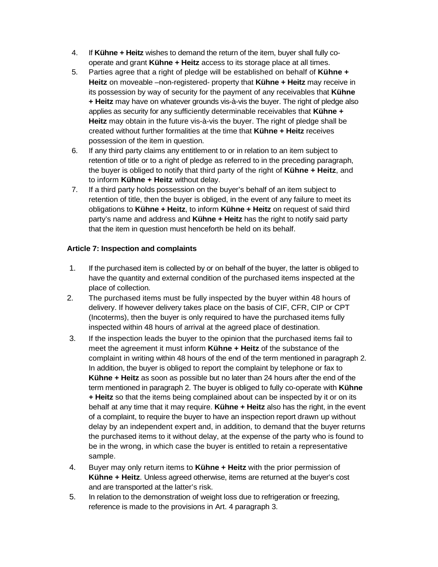- 4. If **Kühne + Heitz** wishes to demand the return of the item, buyer shall fully cooperate and grant **Kühne + Heitz** access to its storage place at all times.
- 5. Parties agree that a right of pledge will be established on behalf of **Kühne + Heitz** on moveable –non-registered- property that **Kühne + Heitz** may receive in its possession by way of security for the payment of any receivables that **Kühne + Heitz** may have on whatever grounds vis-à-vis the buyer. The right of pledge also applies as security for any sufficiently determinable receivables that **Kühne + Heitz** may obtain in the future vis-à-vis the buyer. The right of pledge shall be created without further formalities at the time that **Kühne + Heitz** receives possession of the item in question.
- 6. If any third party claims any entitlement to or in relation to an item subject to retention of title or to a right of pledge as referred to in the preceding paragraph, the buyer is obliged to notify that third party of the right of **Kühne + Heitz**, and to inform **Kühne + Heitz** without delay.
- 7. If a third party holds possession on the buyer's behalf of an item subject to retention of title, then the buyer is obliged, in the event of any failure to meet its obligations to **Kühne + Heitz**, to inform **Kühne + Heitz** on request of said third party's name and address and **Kühne + Heitz** has the right to notify said party that the item in question must henceforth be held on its behalf.

# **Article 7: Inspection and complaints**

- 1. If the purchased item is collected by or on behalf of the buyer, the latter is obliged to have the quantity and external condition of the purchased items inspected at the place of collection.
- 2. The purchased items must be fully inspected by the buyer within 48 hours of delivery. If however delivery takes place on the basis of CIF, CFR, CIP or CPT (Incoterms), then the buyer is only required to have the purchased items fully inspected within 48 hours of arrival at the agreed place of destination.
- 3. If the inspection leads the buyer to the opinion that the purchased items fail to meet the agreement it must inform **Kühne + Heitz** of the substance of the complaint in writing within 48 hours of the end of the term mentioned in paragraph 2. In addition, the buyer is obliged to report the complaint by telephone or fax to **Kühne + Heitz** as soon as possible but no later than 24 hours after the end of the term mentioned in paragraph 2. The buyer is obliged to fully co-operate with **Kühne + Heitz** so that the items being complained about can be inspected by it or on its behalf at any time that it may require. **Kühne + Heitz** also has the right, in the event of a complaint, to require the buyer to have an inspection report drawn up without delay by an independent expert and, in addition, to demand that the buyer returns the purchased items to it without delay, at the expense of the party who is found to be in the wrong, in which case the buyer is entitled to retain a representative sample.
- 4. Buyer may only return items to **Kühne + Heitz** with the prior permission of **Kühne + Heitz**. Unless agreed otherwise, items are returned at the buyer's cost and are transported at the latter's risk.
- 5. In relation to the demonstration of weight loss due to refrigeration or freezing, reference is made to the provisions in Art. 4 paragraph 3.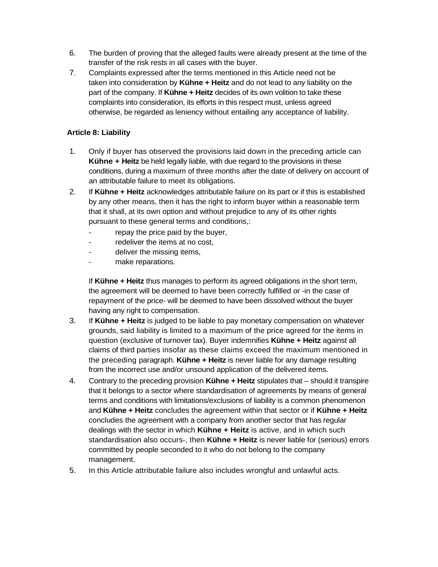- 6. The burden of proving that the alleged faults were already present at the time of the transfer of the risk rests in all cases with the buyer.
- 7. Complaints expressed after the terms mentioned in this Article need not be taken into consideration by **Kühne + Heitz** and do not lead to any liability on the part of the company. If **Kühne + Heitz** decides of its own volition to take these complaints into consideration, its efforts in this respect must, unless agreed otherwise, be regarded as leniency without entailing any acceptance of liability.

# **Article 8: Liability**

- 1. Only if buyer has observed the provisions laid down in the preceding article can **Kühne + Heitz** be held legally liable, with due regard to the provisions in these conditions, during a maximum of three months after the date of delivery on account of an attributable failure to meet its obligations.
- 2. If **Kühne + Heitz** acknowledges attributable failure on its part or if this is established by any other means, then it has the right to inform buyer within a reasonable term that it shall, at its own option and without prejudice to any of its other rights pursuant to these general terms and conditions,:
	- repay the price paid by the buyer,
	- redeliver the items at no cost,
	- deliver the missing items,
	- make reparations.

If **Kühne + Heitz** thus manages to perform its agreed obligations in the short term, the agreement will be deemed to have been correctly fulfilled or -in the case of repayment of the price- will be deemed to have been dissolved without the buyer having any right to compensation.

- 3. If **Kühne + Heitz** is judged to be liable to pay monetary compensation on whatever grounds, said liability is limited to a maximum of the price agreed for the items in question (exclusive of turnover tax). Buyer indemnifies **Kühne + Heitz** against all claims of third parties insofar as these claims exceed the maximum mentioned in the preceding paragraph. **Kühne + Heitz** is never liable for any damage resulting from the incorrect use and/or unsound application of the delivered items.
- 4. Contrary to the preceding provision **Kühne + Heitz** stipulates that should it transpire that it belongs to a sector where standardisation of agreements by means of general terms and conditions with limitations/exclusions of liability is a common phenomenon and **Kühne + Heitz** concludes the agreement within that sector or if **Kühne + Heitz** concludes the agreement with a company from another sector that has regular dealings with the sector in which **Kühne + Heitz** is active, and in which such standardisation also occurs-, then **Kühne + Heitz** is never liable for (serious) errors committed by people seconded to it who do not belong to the company management.
- 5. In this Article attributable failure also includes wrongful and unlawful acts.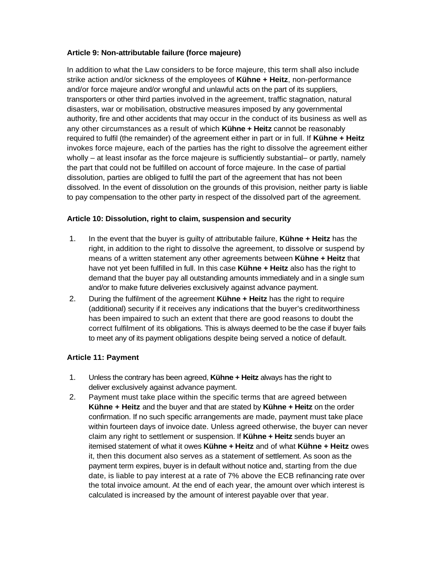## **Article 9: Non-attributable failure (force majeure)**

In addition to what the Law considers to be force majeure, this term shall also include strike action and/or sickness of the employees of **Kühne + Heitz**, non-performance and/or force majeure and/or wrongful and unlawful acts on the part of its suppliers, transporters or other third parties involved in the agreement, traffic stagnation, natural disasters, war or mobilisation, obstructive measures imposed by any governmental authority, fire and other accidents that may occur in the conduct of its business as well as any other circumstances as a result of which **Kühne + Heitz** cannot be reasonably required to fulfil (the remainder) of the agreement either in part or in full. If **Kühne + Heitz**  invokes force majeure, each of the parties has the right to dissolve the agreement either wholly – at least insofar as the force majeure is sufficiently substantial– or partly, namely the part that could not be fulfilled on account of force majeure. In the case of partial dissolution, parties are obliged to fulfil the part of the agreement that has not been dissolved. In the event of dissolution on the grounds of this provision, neither party is liable to pay compensation to the other party in respect of the dissolved part of the agreement.

### **Article 10: Dissolution, right to claim, suspension and security**

- 1. In the event that the buyer is guilty of attributable failure, **Kühne + Heitz** has the right, in addition to the right to dissolve the agreement, to dissolve or suspend by means of a written statement any other agreements between **Kühne + Heitz** that have not yet been fulfilled in full. In this case **Kühne + Heitz** also has the right to demand that the buyer pay all outstanding amounts immediately and in a single sum and/or to make future deliveries exclusively against advance payment.
- 2. During the fulfilment of the agreement **Kühne + Heitz** has the right to require (additional) security if it receives any indications that the buyer's creditworthiness has been impaired to such an extent that there are good reasons to doubt the correct fulfilment of its obligations. This is always deemed to be the case if buyer fails to meet any of its payment obligations despite being served a notice of default.

# **Article 11: Payment**

- 1. Unless the contrary has been agreed, **Kühne + Heitz** always has the right to deliver exclusively against advance payment.
- 2. Payment must take place within the specific terms that are agreed between **Kühne + Heitz** and the buyer and that are stated by **Kühne + Heitz** on the order confirmation. If no such specific arrangements are made, payment must take place within fourteen days of invoice date. Unless agreed otherwise, the buyer can never claim any right to settlement or suspension. If **Kühne + Heitz** sends buyer an itemised statement of what it owes **Kühne + Heitz** and of what **Kühne + Heitz** owes it, then this document also serves as a statement of settlement. As soon as the payment term expires, buyer is in default without notice and, starting from the due date, is liable to pay interest at a rate of 7% above the ECB refinancing rate over the total invoice amount. At the end of each year, the amount over which interest is calculated is increased by the amount of interest payable over that year.